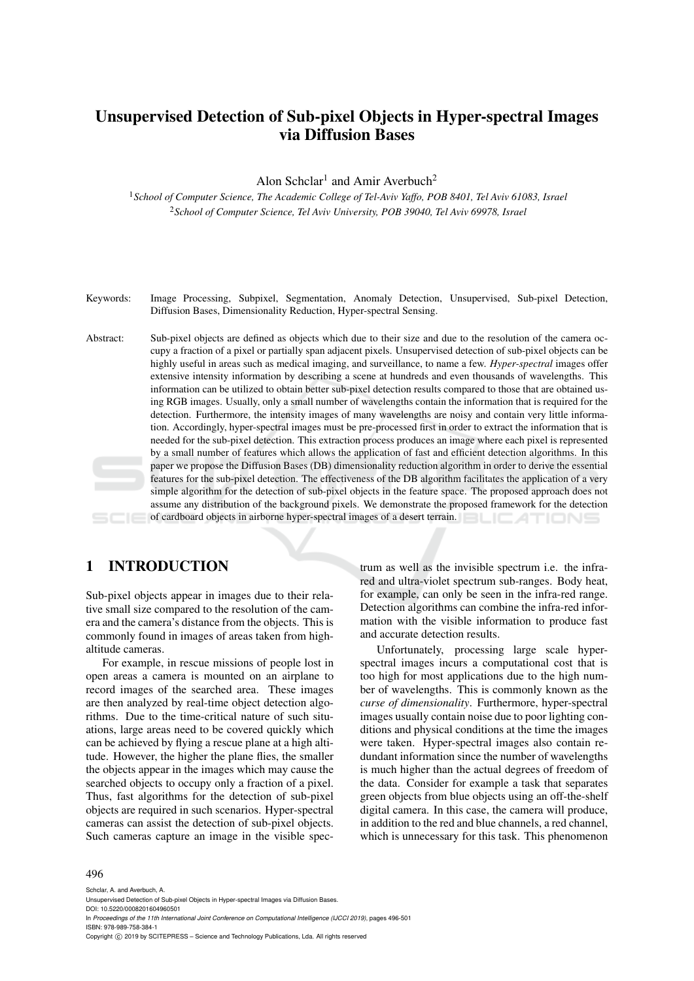# Unsupervised Detection of Sub-pixel Objects in Hyper-spectral Images via Diffusion Bases

Alon Schclar<sup>1</sup> and Amir Averbuch<sup>2</sup>

<sup>1</sup>*School of Computer Science, The Academic College of Tel-Aviv Yaffo, POB 8401, Tel Aviv 61083, Israel* <sup>2</sup>*School of Computer Science, Tel Aviv University, POB 39040, Tel Aviv 69978, Israel*

- Keywords: Image Processing, Subpixel, Segmentation, Anomaly Detection, Unsupervised, Sub-pixel Detection, Diffusion Bases, Dimensionality Reduction, Hyper-spectral Sensing.
- Abstract: Sub-pixel objects are defined as objects which due to their size and due to the resolution of the camera occupy a fraction of a pixel or partially span adjacent pixels. Unsupervised detection of sub-pixel objects can be highly useful in areas such as medical imaging, and surveillance, to name a few. *Hyper-spectral* images offer extensive intensity information by describing a scene at hundreds and even thousands of wavelengths. This information can be utilized to obtain better sub-pixel detection results compared to those that are obtained using RGB images. Usually, only a small number of wavelengths contain the information that is required for the detection. Furthermore, the intensity images of many wavelengths are noisy and contain very little information. Accordingly, hyper-spectral images must be pre-processed first in order to extract the information that is needed for the sub-pixel detection. This extraction process produces an image where each pixel is represented by a small number of features which allows the application of fast and efficient detection algorithms. In this paper we propose the Diffusion Bases (DB) dimensionality reduction algorithm in order to derive the essential features for the sub-pixel detection. The effectiveness of the DB algorithm facilitates the application of a very simple algorithm for the detection of sub-pixel objects in the feature space. The proposed approach does not assume any distribution of the background pixels. We demonstrate the proposed framework for the detection of cardboard objects in airborne hyper-spectral images of a desert terrain.

### 1 INTRODUCTION

Sub-pixel objects appear in images due to their relative small size compared to the resolution of the camera and the camera's distance from the objects. This is commonly found in images of areas taken from highaltitude cameras.

For example, in rescue missions of people lost in open areas a camera is mounted on an airplane to record images of the searched area. These images are then analyzed by real-time object detection algorithms. Due to the time-critical nature of such situations, large areas need to be covered quickly which can be achieved by flying a rescue plane at a high altitude. However, the higher the plane flies, the smaller the objects appear in the images which may cause the searched objects to occupy only a fraction of a pixel. Thus, fast algorithms for the detection of sub-pixel objects are required in such scenarios. Hyper-spectral cameras can assist the detection of sub-pixel objects. Such cameras capture an image in the visible spec-

trum as well as the invisible spectrum i.e. the infrared and ultra-violet spectrum sub-ranges. Body heat, for example, can only be seen in the infra-red range. Detection algorithms can combine the infra-red information with the visible information to produce fast and accurate detection results.

Unfortunately, processing large scale hyperspectral images incurs a computational cost that is too high for most applications due to the high number of wavelengths. This is commonly known as the *curse of dimensionality*. Furthermore, hyper-spectral images usually contain noise due to poor lighting conditions and physical conditions at the time the images were taken. Hyper-spectral images also contain redundant information since the number of wavelengths is much higher than the actual degrees of freedom of the data. Consider for example a task that separates green objects from blue objects using an off-the-shelf digital camera. In this case, the camera will produce, in addition to the red and blue channels, a red channel, which is unnecessary for this task. This phenomenon

#### 496

Schclar, A. and Averbuch, A.

In *Proceedings of the 11th International Joint Conference on Computational Intelligence (IJCCI 2019)*, pages 496-501 ISBN: 978-989-758-384-1

Copyright © 2019 by SCITEPRESS - Science and Technology Publications, Lda. All rights reserved

Unsupervised Detection of Sub-pixel Objects in Hyper-spectral Images via Diffusion Bases. DOI: 10.5220/0008201604960501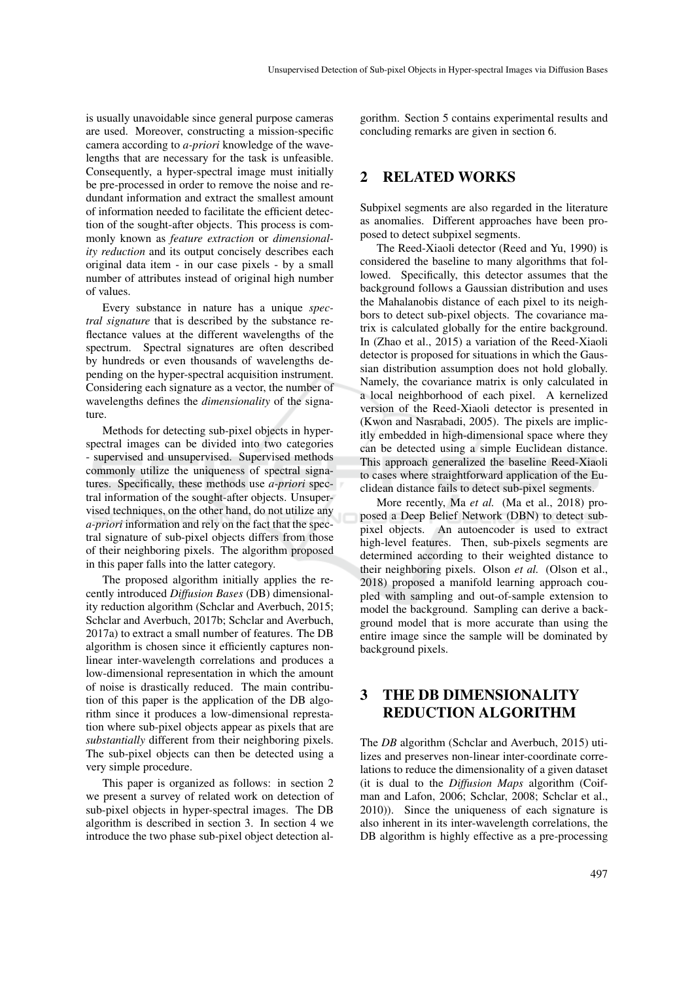is usually unavoidable since general purpose cameras are used. Moreover, constructing a mission-specific camera according to *a-priori* knowledge of the wavelengths that are necessary for the task is unfeasible. Consequently, a hyper-spectral image must initially be pre-processed in order to remove the noise and redundant information and extract the smallest amount of information needed to facilitate the efficient detection of the sought-after objects. This process is commonly known as *feature extraction* or *dimensionality reduction* and its output concisely describes each original data item - in our case pixels - by a small number of attributes instead of original high number of values.

Every substance in nature has a unique *spectral signature* that is described by the substance reflectance values at the different wavelengths of the spectrum. Spectral signatures are often described by hundreds or even thousands of wavelengths depending on the hyper-spectral acquisition instrument. Considering each signature as a vector, the number of wavelengths defines the *dimensionality* of the signature.

Methods for detecting sub-pixel objects in hyperspectral images can be divided into two categories - supervised and unsupervised. Supervised methods commonly utilize the uniqueness of spectral signatures. Specifically, these methods use *a-priori* spectral information of the sought-after objects. Unsupervised techniques, on the other hand, do not utilize any *a-priori* information and rely on the fact that the spectral signature of sub-pixel objects differs from those of their neighboring pixels. The algorithm proposed in this paper falls into the latter category.

The proposed algorithm initially applies the recently introduced *Diffusion Bases* (DB) dimensionality reduction algorithm (Schclar and Averbuch, 2015; Schclar and Averbuch, 2017b; Schclar and Averbuch, 2017a) to extract a small number of features. The DB algorithm is chosen since it efficiently captures nonlinear inter-wavelength correlations and produces a low-dimensional representation in which the amount of noise is drastically reduced. The main contribution of this paper is the application of the DB algorithm since it produces a low-dimensional represtation where sub-pixel objects appear as pixels that are *substantially* different from their neighboring pixels. The sub-pixel objects can then be detected using a very simple procedure.

This paper is organized as follows: in section 2 we present a survey of related work on detection of sub-pixel objects in hyper-spectral images. The DB algorithm is described in section 3. In section 4 we introduce the two phase sub-pixel object detection al-

gorithm. Section 5 contains experimental results and concluding remarks are given in section 6.

### 2 RELATED WORKS

Subpixel segments are also regarded in the literature as anomalies. Different approaches have been proposed to detect subpixel segments.

The Reed-Xiaoli detector (Reed and Yu, 1990) is considered the baseline to many algorithms that followed. Specifically, this detector assumes that the background follows a Gaussian distribution and uses the Mahalanobis distance of each pixel to its neighbors to detect sub-pixel objects. The covariance matrix is calculated globally for the entire background. In (Zhao et al., 2015) a variation of the Reed-Xiaoli detector is proposed for situations in which the Gaussian distribution assumption does not hold globally. Namely, the covariance matrix is only calculated in a local neighborhood of each pixel. A kernelized version of the Reed-Xiaoli detector is presented in (Kwon and Nasrabadi, 2005). The pixels are implicitly embedded in high-dimensional space where they can be detected using a simple Euclidean distance. This approach generalized the baseline Reed-Xiaoli to cases where straightforward application of the Euclidean distance fails to detect sub-pixel segments.

More recently, Ma *et al.* (Ma et al., 2018) proposed a Deep Belief Network (DBN) to detect subpixel objects. An autoencoder is used to extract high-level features. Then, sub-pixels segments are determined according to their weighted distance to their neighboring pixels. Olson *et al.* (Olson et al., 2018) proposed a manifold learning approach coupled with sampling and out-of-sample extension to model the background. Sampling can derive a background model that is more accurate than using the entire image since the sample will be dominated by background pixels.

### 3 THE DB DIMENSIONALITY REDUCTION ALGORITHM

The *DB* algorithm (Schclar and Averbuch, 2015) utilizes and preserves non-linear inter-coordinate correlations to reduce the dimensionality of a given dataset (it is dual to the *Diffusion Maps* algorithm (Coifman and Lafon, 2006; Schclar, 2008; Schclar et al., 2010)). Since the uniqueness of each signature is also inherent in its inter-wavelength correlations, the DB algorithm is highly effective as a pre-processing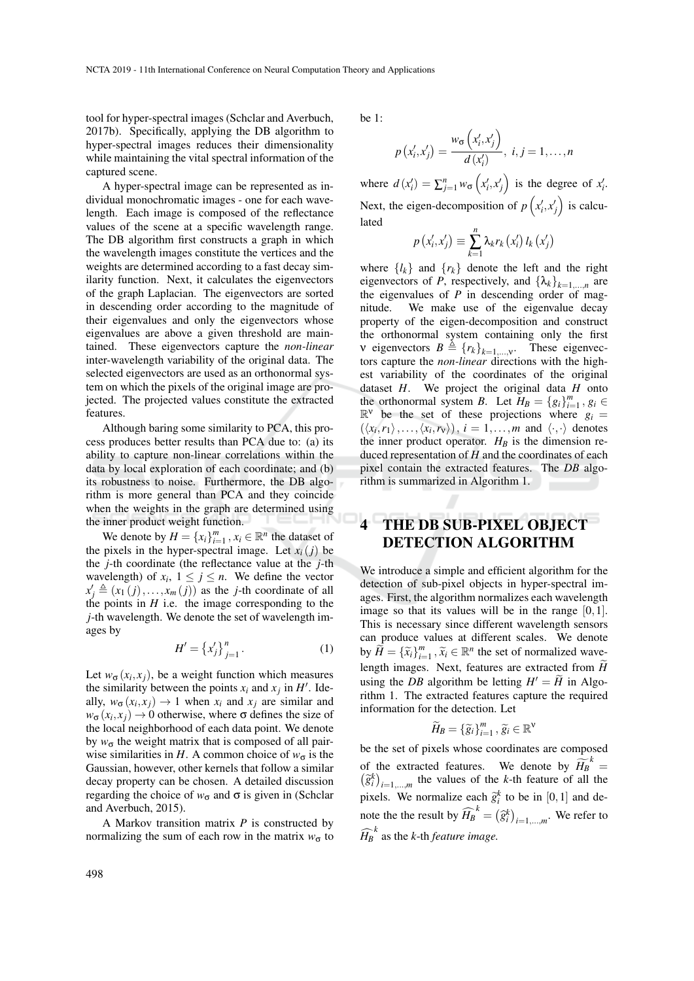tool for hyper-spectral images (Schclar and Averbuch, 2017b). Specifically, applying the DB algorithm to hyper-spectral images reduces their dimensionality while maintaining the vital spectral information of the captured scene.

A hyper-spectral image can be represented as individual monochromatic images - one for each wavelength. Each image is composed of the reflectance values of the scene at a specific wavelength range. The DB algorithm first constructs a graph in which the wavelength images constitute the vertices and the weights are determined according to a fast decay similarity function. Next, it calculates the eigenvectors of the graph Laplacian. The eigenvectors are sorted in descending order according to the magnitude of their eigenvalues and only the eigenvectors whose eigenvalues are above a given threshold are maintained. These eigenvectors capture the *non-linear* inter-wavelength variability of the original data. The selected eigenvectors are used as an orthonormal system on which the pixels of the original image are projected. The projected values constitute the extracted features.

Although baring some similarity to PCA, this process produces better results than PCA due to: (a) its ability to capture non-linear correlations within the data by local exploration of each coordinate; and (b) its robustness to noise. Furthermore, the DB algorithm is more general than PCA and they coincide when the weights in the graph are determined using the inner product weight function.

We denote by  $H = \{x_i\}_{i=1}^m$ ,  $x_i \in \mathbb{R}^n$  the dataset of the pixels in the hyper-spectral image. Let  $x_i(j)$  be the *j*-th coordinate (the reflectance value at the *j*-th wavelength) of  $x_i$ ,  $1 \le j \le n$ . We define the vector  $x'_{j} \triangleq (x_{1}(j),...,x_{m}(j))$  as the *j*-th coordinate of all the points in  $H$  i.e. the image corresponding to the *j*-th wavelength. We denote the set of wavelength images by

$$
H' = \left\{ x'_j \right\}_{j=1}^n. \tag{1}
$$

Let  $w_{\sigma}(x_i, x_j)$ , be a weight function which measures the similarity between the points  $x_i$  and  $x_j$  in  $H'$ . Ideally,  $w_{\sigma}(x_i, x_j) \rightarrow 1$  when  $x_i$  and  $x_j$  are similar and  $w_{\sigma}(x_i, x_j) \rightarrow 0$  otherwise, where  $\sigma$  defines the size of the local neighborhood of each data point. We denote by  $w_{\sigma}$  the weight matrix that is composed of all pairwise similarities in *H*. A common choice of  $w_{\sigma}$  is the Gaussian, however, other kernels that follow a similar decay property can be chosen. A detailed discussion regarding the choice of  $w_{\sigma}$  and  $\sigma$  is given in (Schclar and Averbuch, 2015).

A Markov transition matrix *P* is constructed by normalizing the sum of each row in the matrix  $w_{\sigma}$  to be 1:

$$
p(x'_i, x'_j) = \frac{w_{\sigma}(x'_i, x'_j)}{d(x'_i)}, i, j = 1, \dots, n
$$

where  $d(x_i') = \sum_{j=1}^n w_{\sigma}(x_i', x_j')$  is the degree of  $x_i'$ . Next, the eigen-decomposition of  $p(x'_i, x'_j)$  is calculated

$$
p\left(x'_{i},x'_{j}\right)\equiv\sum_{k=1}^{n}\lambda_{k}r_{k}\left(x'_{i}\right)l_{k}\left(x'_{j}\right)
$$

where  ${l_k}$  and  ${r_k}$  denote the left and the right eigenvectors of *P*, respectively, and  $\{\lambda_k\}_{k=1,\dots,n}$  are the eigenvalues of *P* in descending order of magnitude. We make use of the eigenvalue decay property of the eigen-decomposition and construct the orthonormal system containing only the first v eigenvectors  $B \triangleq \{r_k\}_{k=1,\dots,V}$ . These eigenvectors capture the *non-linear* directions with the highest variability of the coordinates of the original dataset *H*. We project the original data *H* onto the orthonormal system *B*. Let  $H_B = \{g_i\}_{i=1}^m$ ,  $g_i \in$  $\mathbb{R}^{\vee}$  be the set of these projections where  $g_i =$  $(\langle x_i, r_1 \rangle, \ldots, \langle x_i, r_v \rangle), i = 1, \ldots, m$  and  $\langle \cdot, \cdot \rangle$  denotes the inner product operator.  $H_B$  is the dimension reduced representation of *H* and the coordinates of each pixel contain the extracted features. The *DB* algorithm is summarized in Algorithm 1.

## THE DB SUB-PIXEL OBJECT DETECTION ALGORITHM

We introduce a simple and efficient algorithm for the detection of sub-pixel objects in hyper-spectral images. First, the algorithm normalizes each wavelength image so that its values will be in the range  $[0,1]$ . This is necessary since different wavelength sensors can produce values at different scales. We denote by  $\widetilde{H} = {\{\widetilde{x}_i\}}_{i=1}^m$ ,  $\widetilde{x}_i \in \mathbb{R}^n$  the set of normalized wavelength images. Next, features are extracted from  $\widetilde{H}$ using the *DB* algorithm be letting  $H' = \widetilde{H}$  in Algorithm 1. The extracted features capture the required information for the detection. Let

$$
\widetilde{H}_B = \{\widetilde{g}_i\}_{i=1}^m, \widetilde{g}_i \in \mathbb{R}^{\vee}
$$

be the set of pixels whose coordinates are composed of the extracted features. We denote by  $\widetilde{H}_{B}^{k} = (\widetilde{g}_{i}^{k})_{i=1}^{k}$  the values of the *k*-th feature of all the  $\hat{g}_i^k$ )<sub>*i*=1,...,*m*</sub> the values of the *k*-th feature of all the pixels. We normalize each  $\tilde{g}_i^k$  to be in [0,1] and denote the the result by  $\widehat{H}_{B}^{k} = (\widehat{g}_{i}^{k})_{i=1,\dots,m}$ . We refer to  $\widehat{H}_{B}^{\ k}$  as the *k*-th *feature image.*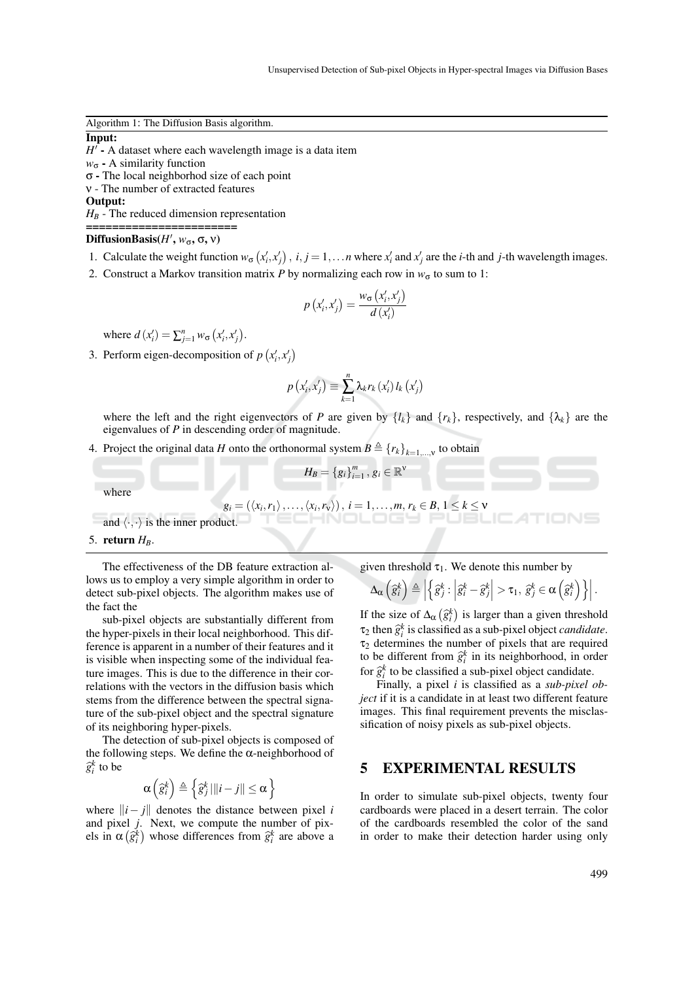Algorithm 1: The Diffusion Basis algorithm.

#### Input:

H<sup>T</sup> - A dataset where each wavelength image is a data item *w*<sub>σ</sub> - A similarity function σ - The local neighborhod size of each point ν - The number of extracted features Output:

 $H_B$  - The reduced dimension representation

#### =====================  $\text{DiffusionBasis}(H', w_\sigma, \sigma, \nu)$

- 1. Calculate the weight function  $w_{\sigma}(x'_i, x'_j)$ ,  $i, j = 1,...n$  where  $x'_i$  and  $x'_j$  are the *i*-th and *j*-th wavelength images.
- 2. Construct a Markov transition matrix *P* by normalizing each row in  $w_{\sigma}$  to sum to 1:

$$
p\left(x'_{i}, x'_{j}\right) = \frac{w_{\sigma}\left(x'_{i}, x'_{j}\right)}{d\left(x'_{i}\right)}
$$

where  $d(x'_i) = \sum_{j=1}^n w_{\sigma}(x'_i, x'_j)$ .

3. Perform eigen-decomposition of  $p(x'_i, x'_j)$ 

$$
p\left(x'_{i},x'_{j}\right)\equiv\sum_{k=1}^{n}\lambda_{k}r_{k}\left(x'_{i}\right)l_{k}\left(x'_{j}\right)
$$

where the left and the right eigenvectors of *P* are given by  $\{l_k\}$  and  $\{r_k\}$ , respectively, and  $\{\lambda_k\}$  are the eigenvalues of *P* in descending order of magnitude.

4. Project the original data *H* onto the orthonormal system  $B \triangleq {r_k}_{k=1,\dots,v}$  to obtain

where

$$
g_i = (\langle x_i, r_1 \rangle, \ldots, \langle x_i, r_v \rangle), i = 1, \ldots, m, r_k \in B, 1 \leq k \leq v
$$

 $H_B = \{g_i\}_{i=1}^m, g_i \in \mathbb{R}^{\nu}$ 

and 
$$
\langle \cdot, \cdot \rangle
$$
 is the inner product.

5. return  $H_B$ .

The effectiveness of the DB feature extraction allows us to employ a very simple algorithm in order to detect sub-pixel objects. The algorithm makes use of the fact the

sub-pixel objects are substantially different from the hyper-pixels in their local neighborhood. This difference is apparent in a number of their features and it is visible when inspecting some of the individual feature images. This is due to the difference in their correlations with the vectors in the diffusion basis which stems from the difference between the spectral signature of the sub-pixel object and the spectral signature of its neighboring hyper-pixels.

The detection of sub-pixel objects is composed of the following steps. We define the  $\alpha$ -neighborhood of  $\widehat{g}_i^k$  to be

$$
\alpha\left(\widehat{g}_{i}^{k}\right) \triangleq \left\{\widehat{g}_{j}^{k}|\Vert i-j\Vert \leq \alpha\right\}
$$

where  $||i - j||$  denotes the distance between pixel *i* and pixel *j*. Next, we compute the number of pixels in  $\alpha(\hat{g}_i^k)$  whose differences from  $\hat{g}_i^k$  are above a

given threshold  $\tau_1$ . We denote this number by

$$
\Delta_{\alpha}\left(\widehat{g}_{i}^{k}\right) \triangleq \left| \left\{\widehat{g}_{j}^{k} : \left|\widehat{g}_{i}^{k} - \widehat{g}_{j}^{k}\right| > \tau_{1}, \ \widehat{g}_{j}^{k} \in \alpha\left(\widehat{g}_{i}^{k}\right)\right\} \right|.
$$

If the size of  $\Delta_{\alpha}(\hat{g}_k^k)$  is larger than a given threshold  $\tau_2$  then  $\hat{g}_k^k$  is classified as a sub-pixel object *candidate*.  $\tau_2$  determines the number of pixels that are required to be different from  $\hat{g}_i^k$  in its neighborhood, in order<br>for  $\hat{\alpha}_k^k$  to be clossified a sub pixel chiest sondidate for  $\hat{g}_i^k$  to be classified a sub-pixel object candidate.<br>Finally, a pixel *i* is classified as a sub-pixel.

Finally, a pixel *i* is classified as a *sub-pixel object* if it is a candidate in at least two different feature images. This final requirement prevents the misclassification of noisy pixels as sub-pixel objects.

#### 5 EXPERIMENTAL RESULTS

In order to simulate sub-pixel objects, twenty four cardboards were placed in a desert terrain. The color of the cardboards resembled the color of the sand in order to make their detection harder using only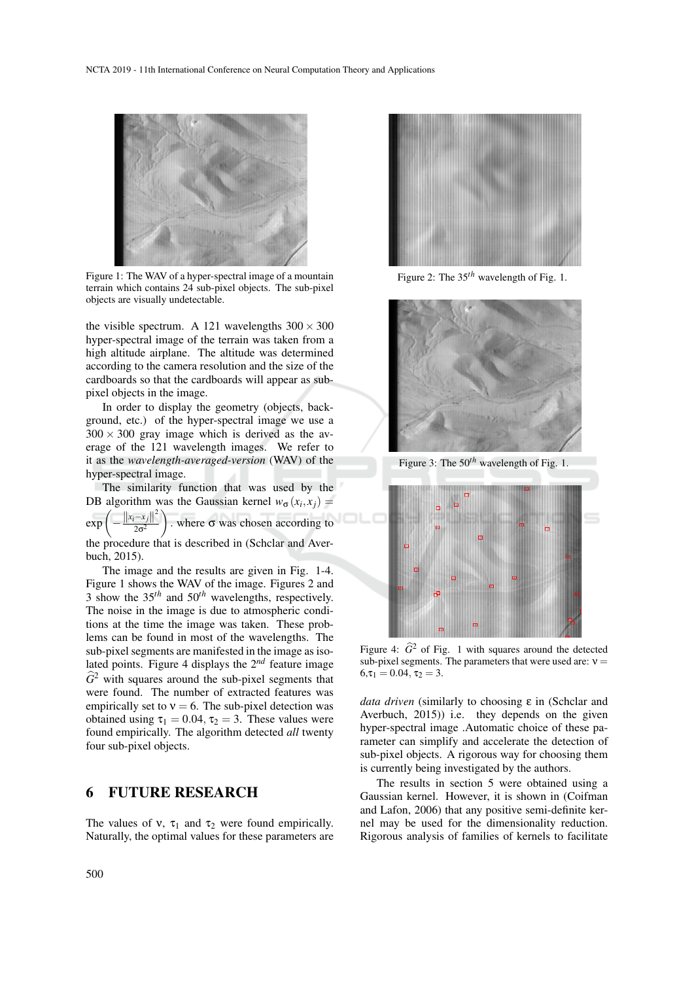

Figure 1: The WAV of a hyper-spectral image of a mountain terrain which contains 24 sub-pixel objects. The sub-pixel objects are visually undetectable.

the visible spectrum. A 121 wavelengths  $300 \times 300$ hyper-spectral image of the terrain was taken from a high altitude airplane. The altitude was determined according to the camera resolution and the size of the cardboards so that the cardboards will appear as subpixel objects in the image.

In order to display the geometry (objects, background, etc.) of the hyper-spectral image we use a  $300 \times 300$  gray image which is derived as the average of the 121 wavelength images. We refer to it as the *wavelength-averaged-version* (WAV) of the hyper-spectral image.

The similarity function that was used by the DB algorithm was the Gaussian kernel  $w_{\sigma}(x_i, x_j) =$ 

exp −  $||x_i-x_j||^2$  )  $2\sigma^2$ . where  $\sigma$  was chosen according to

the procedure that is described in (Schclar and Averbuch, 2015).

The image and the results are given in Fig. 1-4. Figure 1 shows the WAV of the image. Figures 2 and 3 show the 35*th* and 50*th* wavelengths, respectively. The noise in the image is due to atmospheric conditions at the time the image was taken. These problems can be found in most of the wavelengths. The sub-pixel segments are manifested in the image as isolated points. Figure 4 displays the 2*nd* feature image  $\widehat{G}^2$  with squares around the sub-pixel segments that were found. The number of extracted features was empirically set to  $v = 6$ . The sub-pixel detection was obtained using  $\tau_1 = 0.04$ ,  $\tau_2 = 3$ . These values were found empirically. The algorithm detected *all* twenty four sub-pixel objects.

### 6 FUTURE RESEARCH

The values of v,  $\tau_1$  and  $\tau_2$  were found empirically. Naturally, the optimal values for these parameters are



Figure 2: The 35*th* wavelength of Fig. 1.



Figure 3: The 50*th* wavelength of Fig. 1.



Figure 4:  $\hat{G}^2$  of Fig. 1 with squares around the detected sub-pixel segments. The parameters that were used are:  $v =$  $6, \tau_1 = 0.04, \tau_2 = 3.$ 

*data driven* (similarly to choosing ε in (Schclar and Averbuch, 2015)) i.e. they depends on the given hyper-spectral image .Automatic choice of these parameter can simplify and accelerate the detection of sub-pixel objects. A rigorous way for choosing them is currently being investigated by the authors.

The results in section 5 were obtained using a Gaussian kernel. However, it is shown in (Coifman and Lafon, 2006) that any positive semi-definite kernel may be used for the dimensionality reduction. Rigorous analysis of families of kernels to facilitate